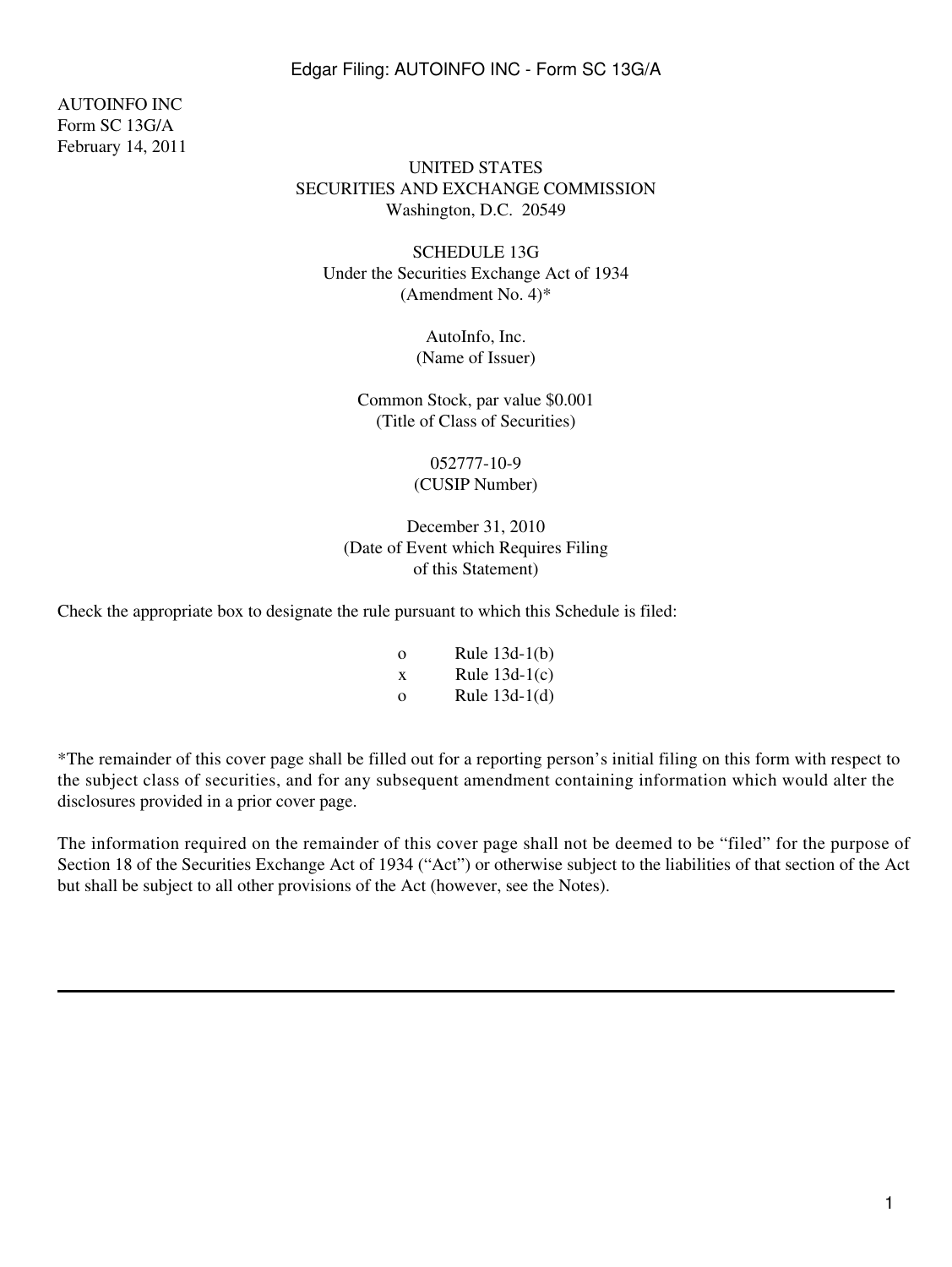AUTOINFO INC Form SC 13G/A February 14, 2011

## UNITED STATES SECURITIES AND EXCHANGE COMMISSION Washington, D.C. 20549

SCHEDULE 13G Under the Securities Exchange Act of 1934 (Amendment No. 4)\*

> AutoInfo, Inc. (Name of Issuer)

Common Stock, par value \$0.001 (Title of Class of Securities)

> 052777-10-9 (CUSIP Number)

December 31, 2010 (Date of Event which Requires Filing of this Statement)

Check the appropriate box to designate the rule pursuant to which this Schedule is filed:

| $\Omega$ | Rule $13d-1(b)$ |
|----------|-----------------|
| X        | Rule $13d-1(c)$ |
| $\Omega$ | Rule $13d-1(d)$ |

\*The remainder of this cover page shall be filled out for a reporting person's initial filing on this form with respect to the subject class of securities, and for any subsequent amendment containing information which would alter the disclosures provided in a prior cover page.

The information required on the remainder of this cover page shall not be deemed to be "filed" for the purpose of Section 18 of the Securities Exchange Act of 1934 ("Act") or otherwise subject to the liabilities of that section of the Act but shall be subject to all other provisions of the Act (however, see the Notes).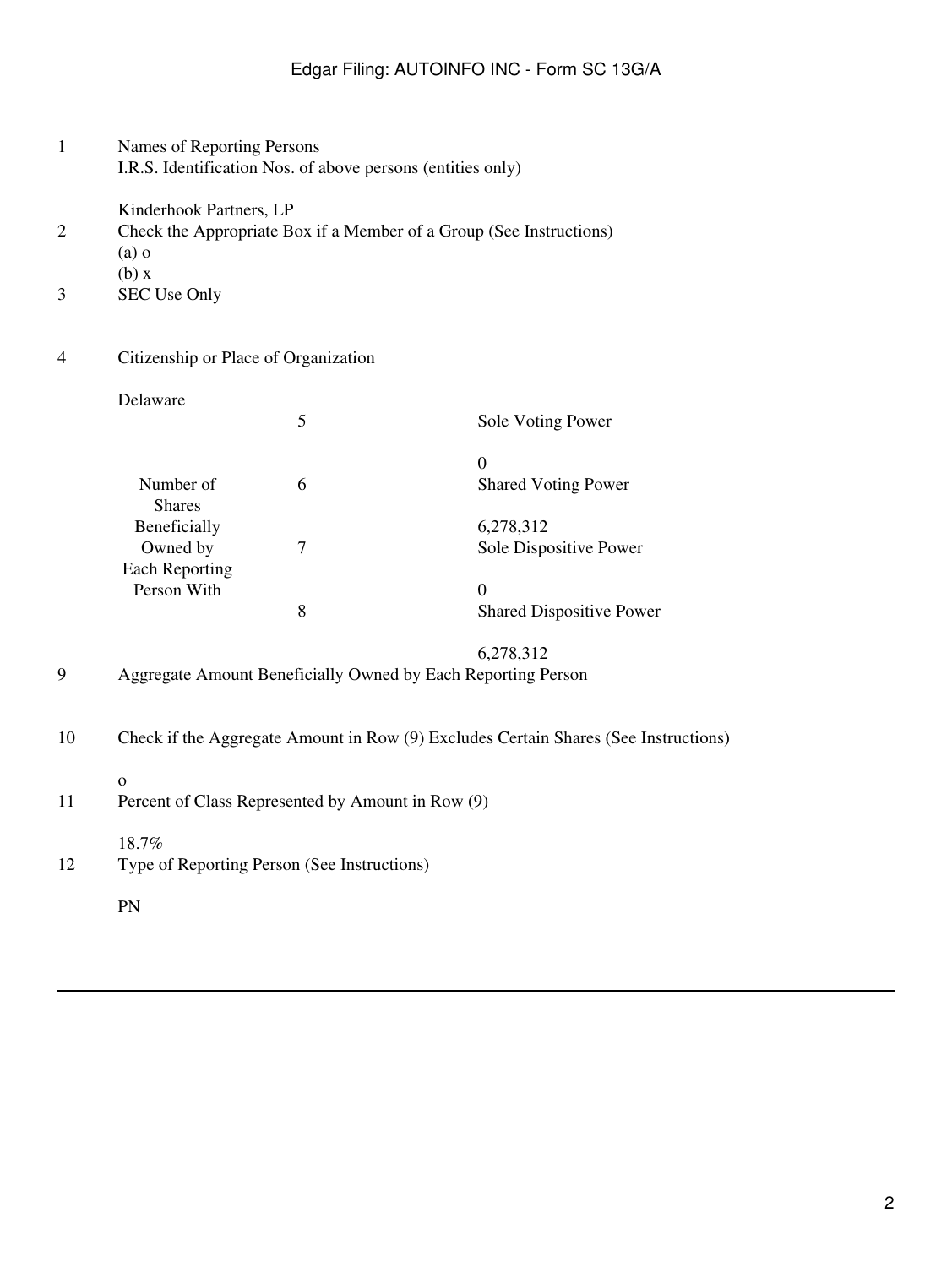- 1 Names of Reporting Persons I.R.S. Identification Nos. of above persons (entities only)
	- Kinderhook Partners, LP
- 2 Check the Appropriate Box if a Member of a Group (See Instructions)
	- (a) o
		- (b) x
- 3 SEC Use Only
- 4 Citizenship or Place of Organization

# Delaware 5 Sole Voting Power 0 Number of 6 6 Shared Voting Power Shares Beneficially 6,278,312 Owned by 7 Sole Dispositive Power Each Reporting Person With 0<br>8<br>8<br>9 8 Shared Dispositive Power

## 6,278,312 9 Aggregate Amount Beneficially Owned by Each Reporting Person

- 10 Check if the Aggregate Amount in Row (9) Excludes Certain Shares (See Instructions)
	- o
- 11 Percent of Class Represented by Amount in Row (9)
	- 18.7%
- 12 Type of Reporting Person (See Instructions)
	- PN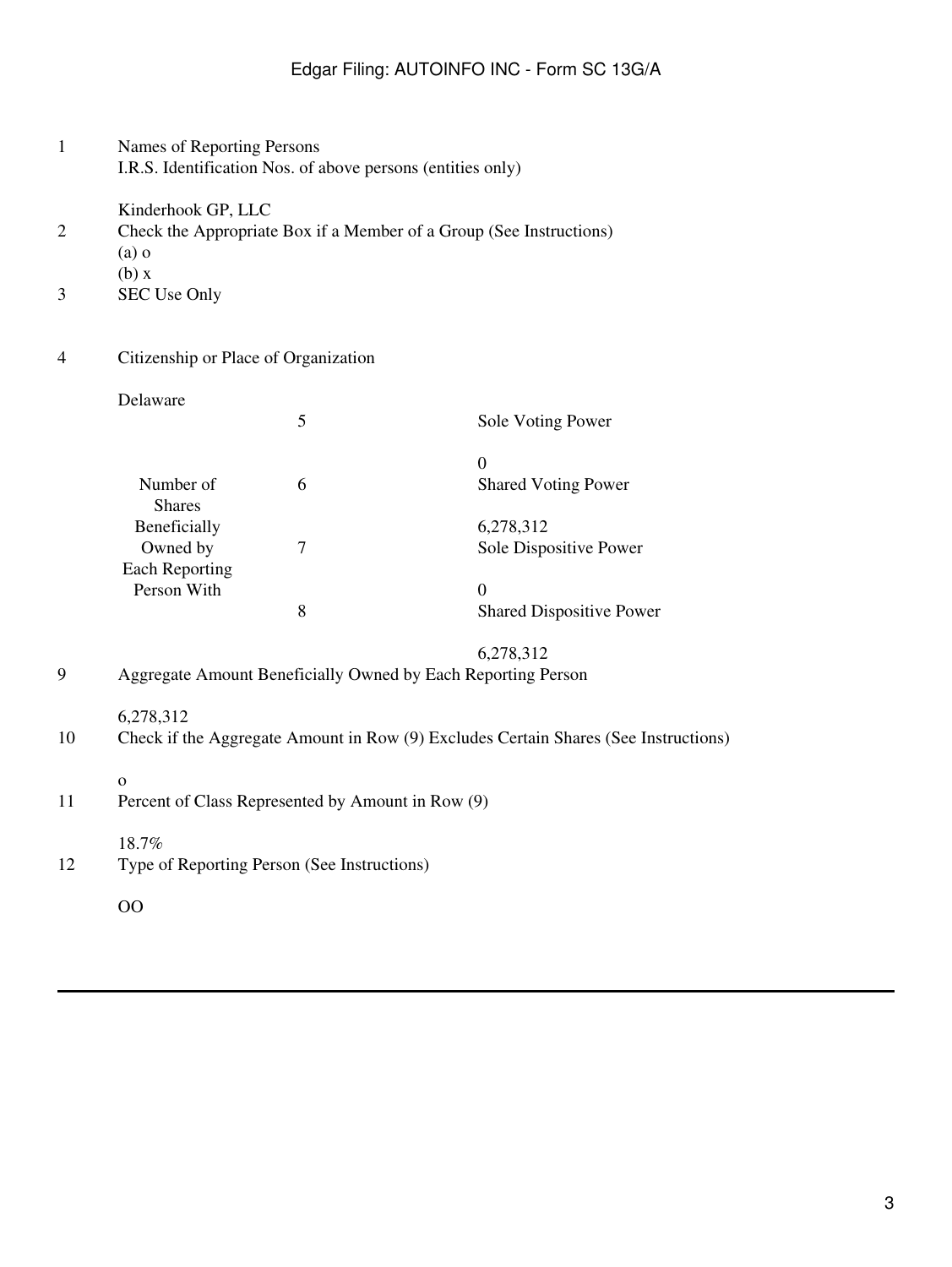- 1 Names of Reporting Persons I.R.S. Identification Nos. of above persons (entities only)
	- Kinderhook GP, LLC
- 2 Check the Appropriate Box if a Member of a Group (See Instructions)
	- (a) o
		- (b) x
- 3 SEC Use Only
- 4 Citizenship or Place of Organization

# Delaware 5 Sole Voting Power  $\theta$ Number of 6 6 Shared Voting Power Shares Beneficially 6,278,312 Owned by 7 Sole Dispositive Power Each Reporting Person With 0<br>8<br>8 8 Shared Dispositive Power

# 6,278,312

- 9 Aggregate Amount Beneficially Owned by Each Reporting Person
	- 6,278,312
- 10 Check if the Aggregate Amount in Row (9) Excludes Certain Shares (See Instructions)
	- o
- 11 Percent of Class Represented by Amount in Row (9)
	- 18.7%
- 12 Type of Reporting Person (See Instructions)
	- OO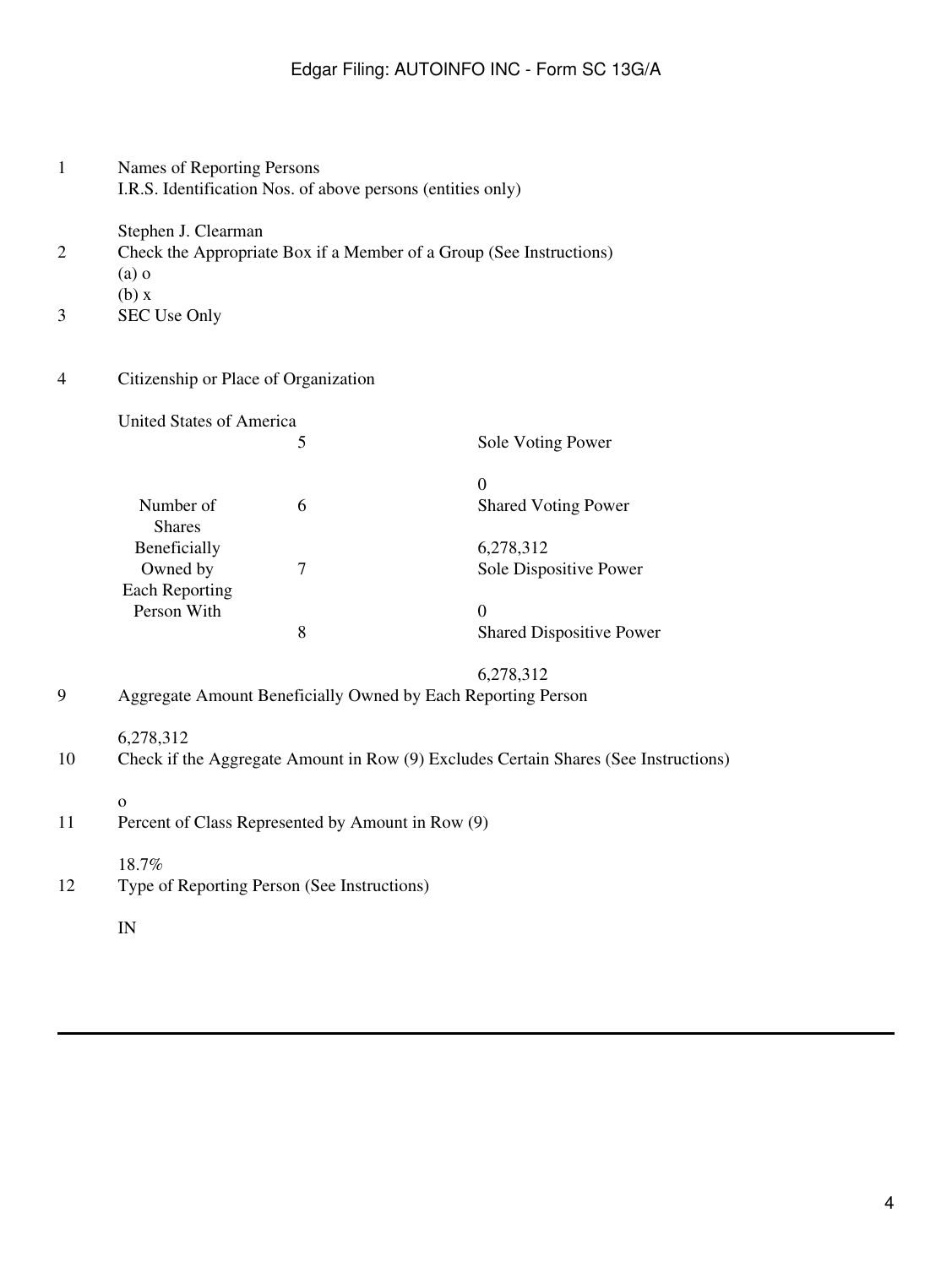| $\overline{2}$<br>3 | Stephen J. Clearman<br>(a)<br>(b) x<br>SEC Use Only                                              | Check the Appropriate Box if a Member of a Group (See Instructions) |                                                   |  |  |
|---------------------|--------------------------------------------------------------------------------------------------|---------------------------------------------------------------------|---------------------------------------------------|--|--|
| 4                   | Citizenship or Place of Organization                                                             |                                                                     |                                                   |  |  |
|                     | United States of America                                                                         |                                                                     |                                                   |  |  |
|                     |                                                                                                  | 5                                                                   | Sole Voting Power                                 |  |  |
|                     | Number of                                                                                        | 6                                                                   | $\mathbf{0}$<br><b>Shared Voting Power</b>        |  |  |
|                     | <b>Shares</b><br>Beneficially<br>Owned by                                                        | $\tau$                                                              | 6,278,312<br>Sole Dispositive Power               |  |  |
|                     | <b>Each Reporting</b><br>Person With                                                             | 8                                                                   | $\overline{0}$<br><b>Shared Dispositive Power</b> |  |  |
| 9                   |                                                                                                  | Aggregate Amount Beneficially Owned by Each Reporting Person        | 6,278,312                                         |  |  |
| 10                  | 6,278,312<br>Check if the Aggregate Amount in Row (9) Excludes Certain Shares (See Instructions) |                                                                     |                                                   |  |  |
| 11                  | $\Omega$<br>Percent of Class Represented by Amount in Row (9)                                    |                                                                     |                                                   |  |  |
| 12                  | 18.7%<br>Type of Reporting Person (See Instructions)                                             |                                                                     |                                                   |  |  |
|                     | IN                                                                                               |                                                                     |                                                   |  |  |

1 Names of Reporting Persons

I.R.S. Identification Nos. of above persons (entities only)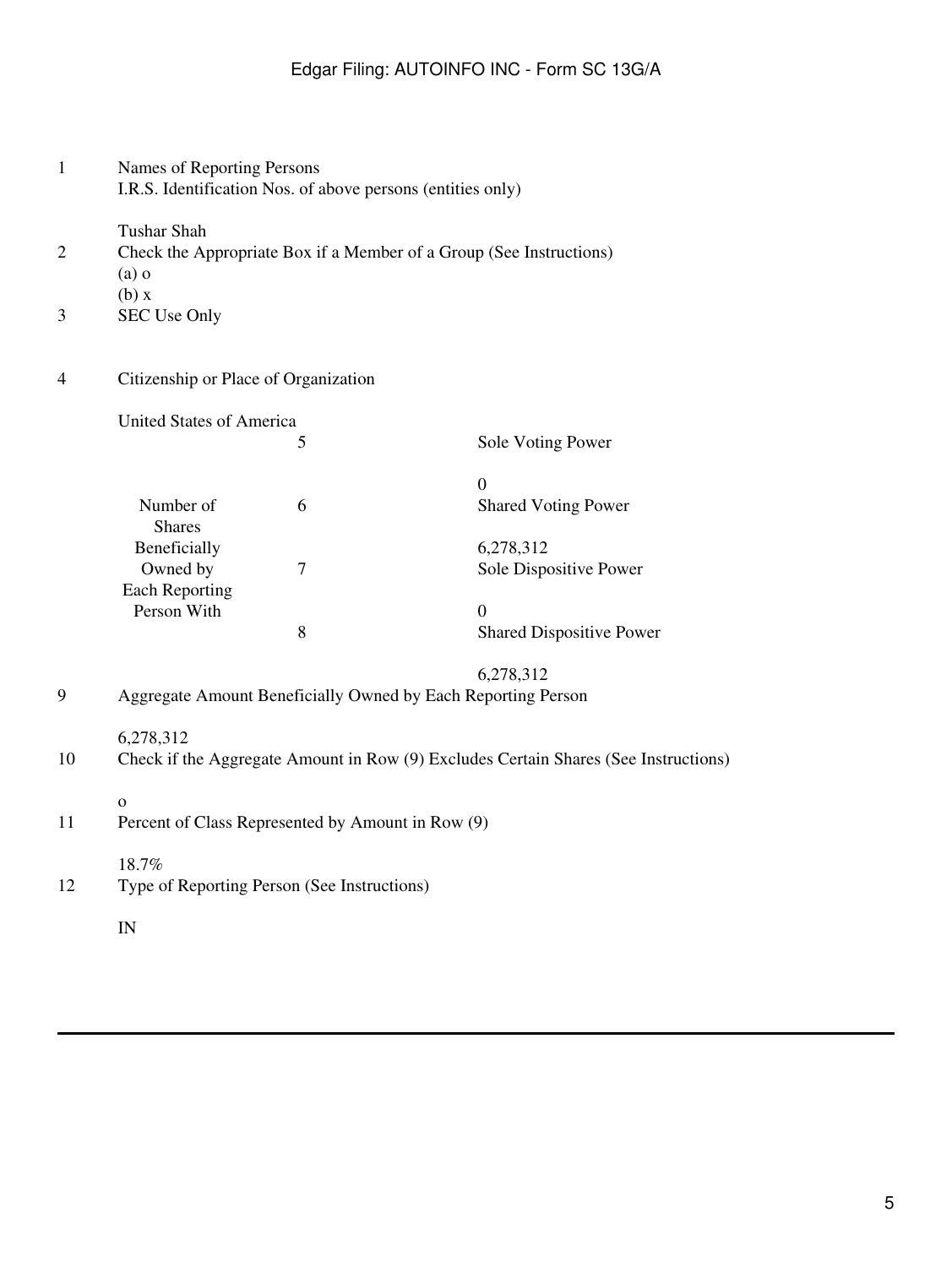|                     | I.R.S. Identification Nos. of above persons (entities only)                                      |                                                                     |                                 |  |  |
|---------------------|--------------------------------------------------------------------------------------------------|---------------------------------------------------------------------|---------------------------------|--|--|
| $\overline{2}$<br>3 | <b>Tushar Shah</b><br>$(a)$ o<br>(b) x<br><b>SEC Use Only</b>                                    | Check the Appropriate Box if a Member of a Group (See Instructions) |                                 |  |  |
| 4                   | Citizenship or Place of Organization<br>United States of America                                 |                                                                     |                                 |  |  |
|                     |                                                                                                  |                                                                     |                                 |  |  |
|                     |                                                                                                  | 5                                                                   | Sole Voting Power               |  |  |
|                     |                                                                                                  |                                                                     | $\overline{0}$                  |  |  |
|                     | Number of<br><b>Shares</b>                                                                       | 6                                                                   | <b>Shared Voting Power</b>      |  |  |
|                     | Beneficially                                                                                     |                                                                     | 6,278,312                       |  |  |
|                     | Owned by                                                                                         | $\tau$                                                              | Sole Dispositive Power          |  |  |
|                     | <b>Each Reporting</b><br>Person With                                                             |                                                                     | $\overline{0}$                  |  |  |
|                     |                                                                                                  | 8                                                                   | <b>Shared Dispositive Power</b> |  |  |
|                     |                                                                                                  |                                                                     | 6,278,312                       |  |  |
| 9                   | Aggregate Amount Beneficially Owned by Each Reporting Person                                     |                                                                     |                                 |  |  |
| 10                  | 6,278,312<br>Check if the Aggregate Amount in Row (9) Excludes Certain Shares (See Instructions) |                                                                     |                                 |  |  |
| 11                  | $\mathbf{o}$<br>Percent of Class Represented by Amount in Row (9)                                |                                                                     |                                 |  |  |
| 12                  | 18.7%<br>Type of Reporting Person (See Instructions)                                             |                                                                     |                                 |  |  |
|                     | IN                                                                                               |                                                                     |                                 |  |  |

1 Names of Reporting Persons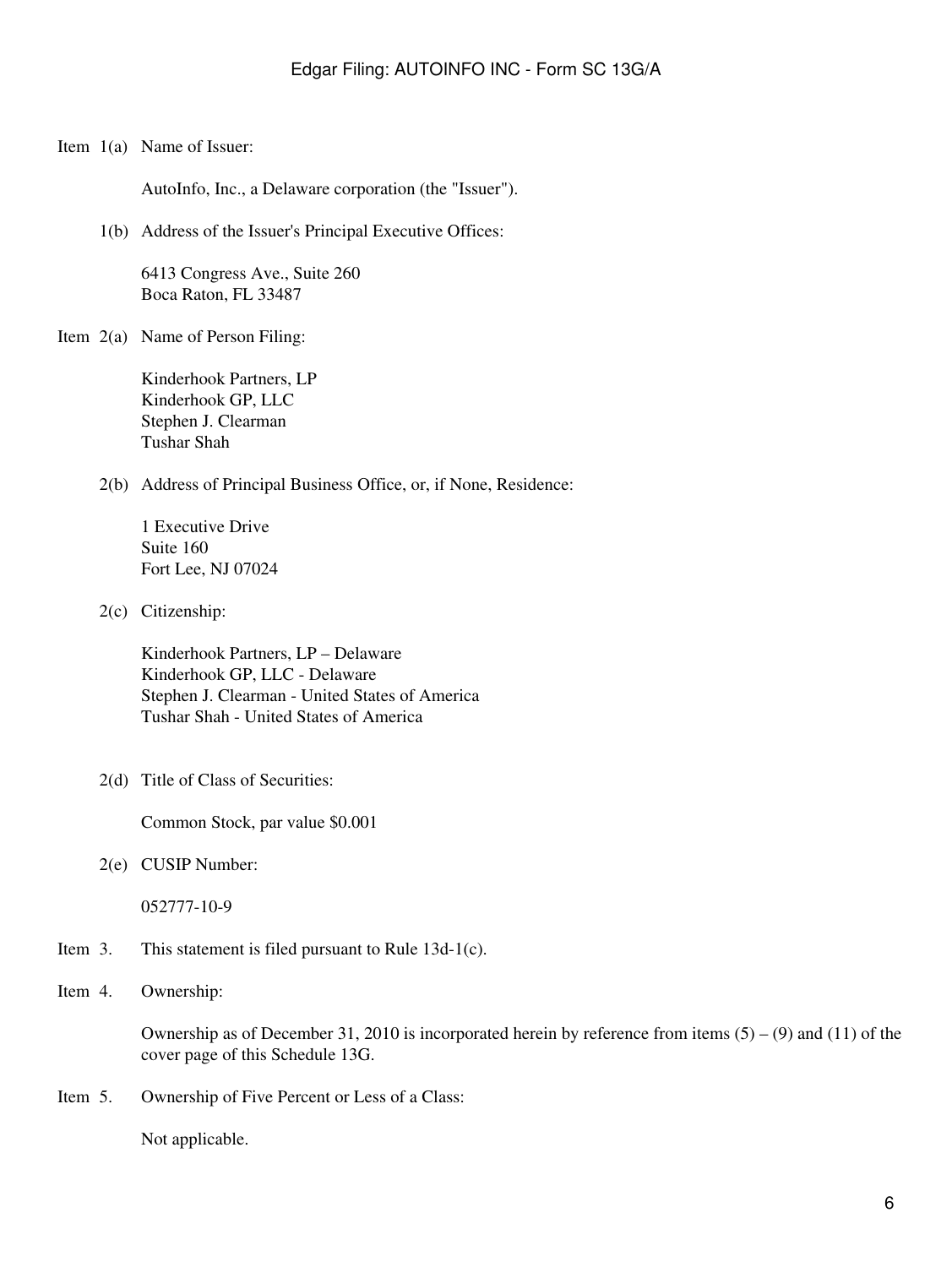Item 1(a) Name of Issuer:

AutoInfo, Inc., a Delaware corporation (the "Issuer").

1(b) Address of the Issuer's Principal Executive Offices:

6413 Congress Ave., Suite 260 Boca Raton, FL 33487

Item 2(a) Name of Person Filing:

Kinderhook Partners, LP Kinderhook GP, LLC Stephen J. Clearman Tushar Shah

2(b) Address of Principal Business Office, or, if None, Residence:

1 Executive Drive Suite 160 Fort Lee, NJ 07024

2(c) Citizenship:

Kinderhook Partners, LP – Delaware Kinderhook GP, LLC - Delaware Stephen J. Clearman - United States of America Tushar Shah - United States of America

2(d) Title of Class of Securities:

Common Stock, par value \$0.001

2(e) CUSIP Number:

052777-10-9

- Item 3. This statement is filed pursuant to Rule 13d-1(c).
- Item 4. Ownership:

Ownership as of December 31, 2010 is incorporated herein by reference from items  $(5) - (9)$  and  $(11)$  of the cover page of this Schedule 13G.

Item 5. Ownership of Five Percent or Less of a Class:

Not applicable.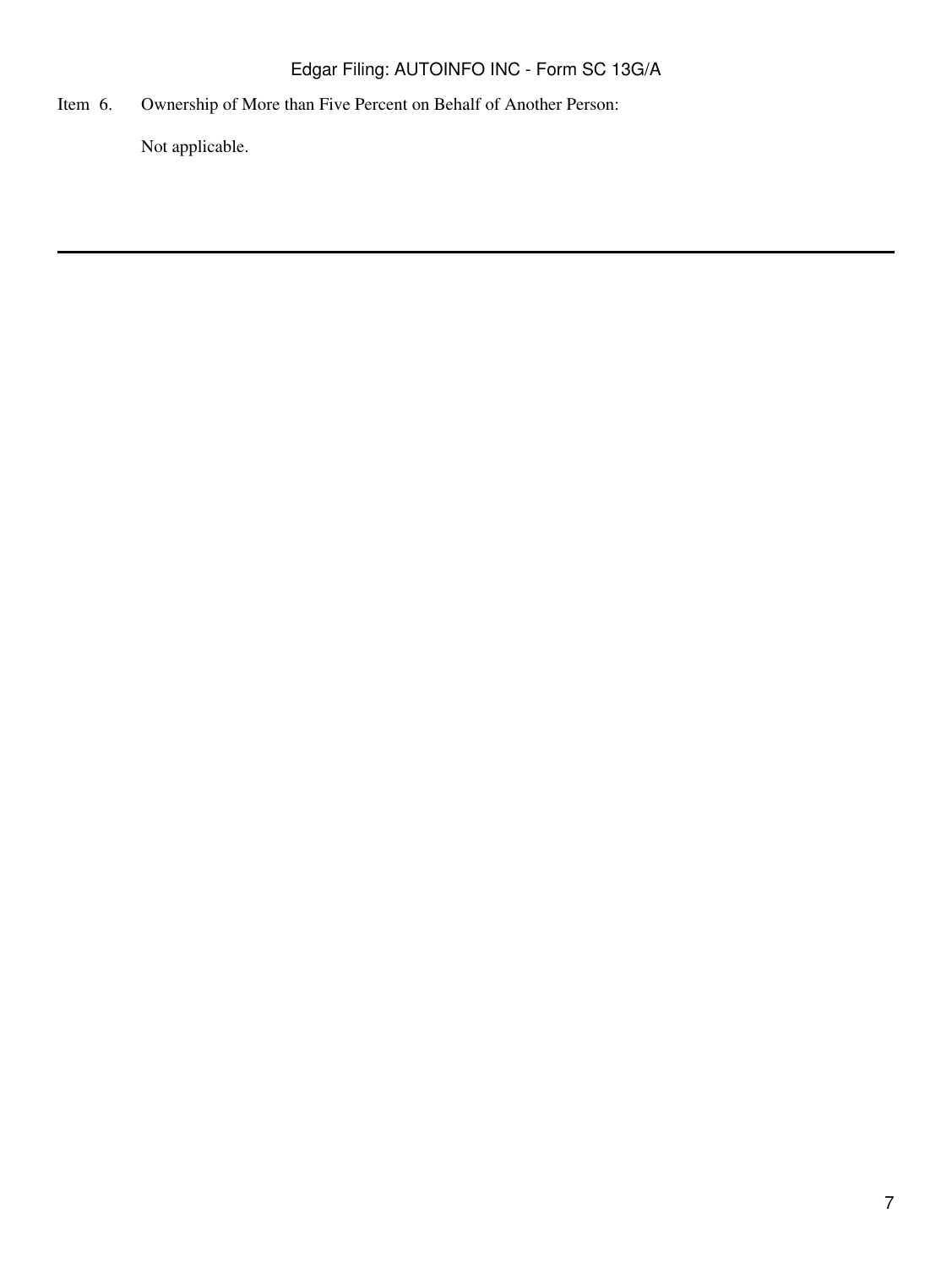Item 6. Ownership of More than Five Percent on Behalf of Another Person:

Not applicable.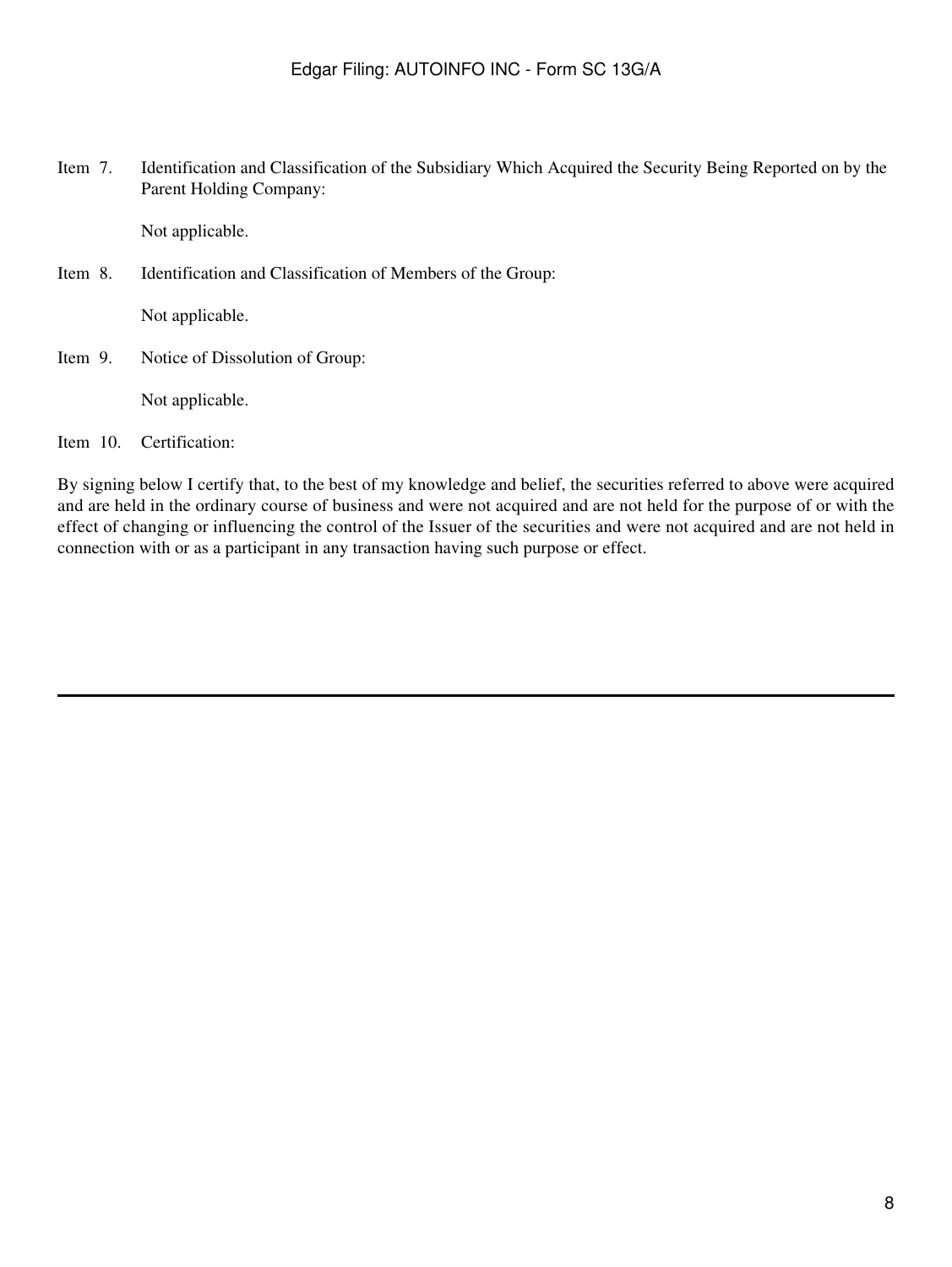Item 7. Identification and Classification of the Subsidiary Which Acquired the Security Being Reported on by the Parent Holding Company:

Not applicable.

Item 8. Identification and Classification of Members of the Group:

Not applicable.

Item 9. Notice of Dissolution of Group:

Not applicable.

Item 10. Certification:

By signing below I certify that, to the best of my knowledge and belief, the securities referred to above were acquired and are held in the ordinary course of business and were not acquired and are not held for the purpose of or with the effect of changing or influencing the control of the Issuer of the securities and were not acquired and are not held in connection with or as a participant in any transaction having such purpose or effect.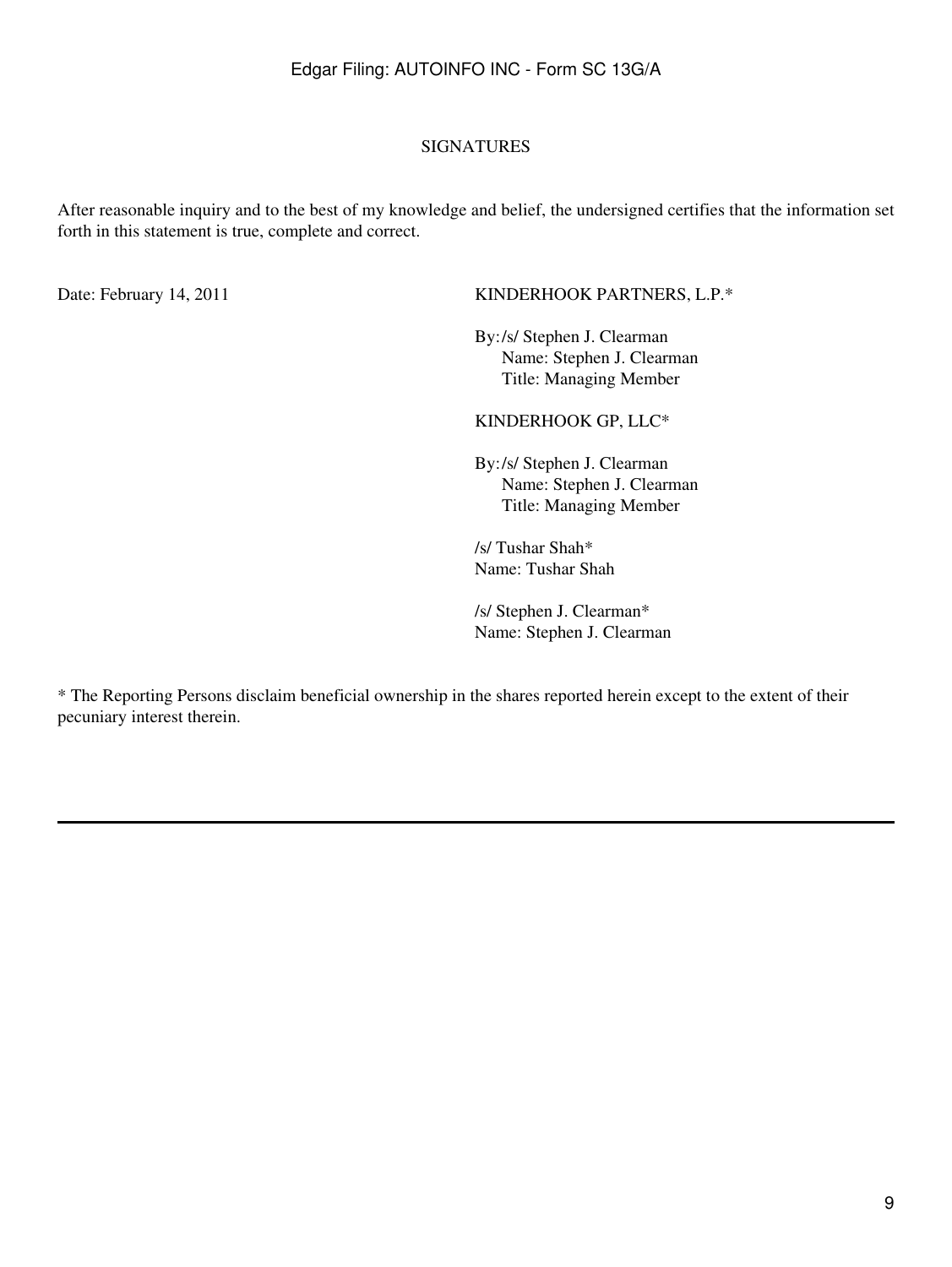### SIGNATURES

After reasonable inquiry and to the best of my knowledge and belief, the undersigned certifies that the information set forth in this statement is true, complete and correct.

#### Date: February 14, 2011 KINDERHOOK PARTNERS, L.P.\*

By:/s/ Stephen J. Clearman Name: Stephen J. Clearman Title: Managing Member

#### KINDERHOOK GP, LLC\*

By:/s/ Stephen J. Clearman Name: Stephen J. Clearman Title: Managing Member

/s/ Tushar Shah\* Name: Tushar Shah

/s/ Stephen J. Clearman\* Name: Stephen J. Clearman

\* The Reporting Persons disclaim beneficial ownership in the shares reported herein except to the extent of their pecuniary interest therein.